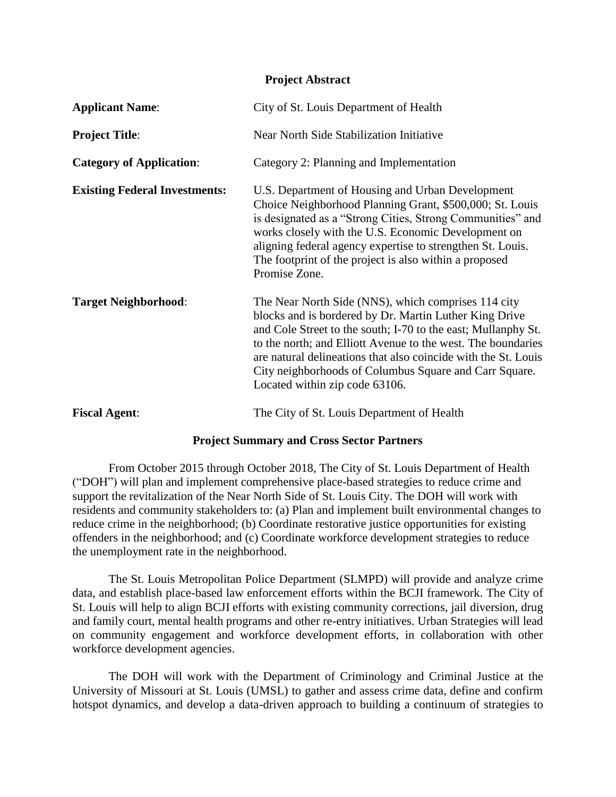#### **Project Abstract**

| <b>Applicant Name:</b>               | City of St. Louis Department of Health                                                                                                                                                                                                                                                                                                                                                                       |
|--------------------------------------|--------------------------------------------------------------------------------------------------------------------------------------------------------------------------------------------------------------------------------------------------------------------------------------------------------------------------------------------------------------------------------------------------------------|
| <b>Project Title:</b>                | Near North Side Stabilization Initiative                                                                                                                                                                                                                                                                                                                                                                     |
| <b>Category of Application:</b>      | Category 2: Planning and Implementation                                                                                                                                                                                                                                                                                                                                                                      |
| <b>Existing Federal Investments:</b> | U.S. Department of Housing and Urban Development<br>Choice Neighborhood Planning Grant, \$500,000; St. Louis<br>is designated as a "Strong Cities, Strong Communities" and<br>works closely with the U.S. Economic Development on<br>aligning federal agency expertise to strengthen St. Louis.<br>The footprint of the project is also within a proposed<br>Promise Zone.                                   |
| <b>Target Neighborhood:</b>          | The Near North Side (NNS), which comprises 114 city<br>blocks and is bordered by Dr. Martin Luther King Drive<br>and Cole Street to the south; I-70 to the east; Mullanphy St.<br>to the north; and Elliott Avenue to the west. The boundaries<br>are natural delineations that also coincide with the St. Louis<br>City neighborhoods of Columbus Square and Carr Square.<br>Located within zip code 63106. |
| <b>Fiscal Agent:</b>                 | The City of St. Louis Department of Health                                                                                                                                                                                                                                                                                                                                                                   |

### **Project Summary and Cross Sector Partners**

From October 2015 through October 2018, The City of St. Louis Department of Health ("DOH") will plan and implement comprehensive place-based strategies to reduce crime and support the revitalization of the Near North Side of St. Louis City. The DOH will work with residents and community stakeholders to: (a) Plan and implement built environmental changes to reduce crime in the neighborhood; (b) Coordinate restorative justice opportunities for existing offenders in the neighborhood; and (c) Coordinate workforce development strategies to reduce the unemployment rate in the neighborhood.

The St. Louis Metropolitan Police Department (SLMPD) will provide and analyze crime data, and establish place-based law enforcement efforts within the BCJI framework. The City of St. Louis will help to align BCJI efforts with existing community corrections, jail diversion, drug and family court, mental health programs and other re-entry initiatives. Urban Strategies will lead on community engagement and workforce development efforts, in collaboration with other workforce development agencies.

The DOH will work with the Department of Criminology and Criminal Justice at the University of Missouri at St. Louis (UMSL) to gather and assess crime data, define and confirm hotspot dynamics, and develop a data-driven approach to building a continuum of strategies to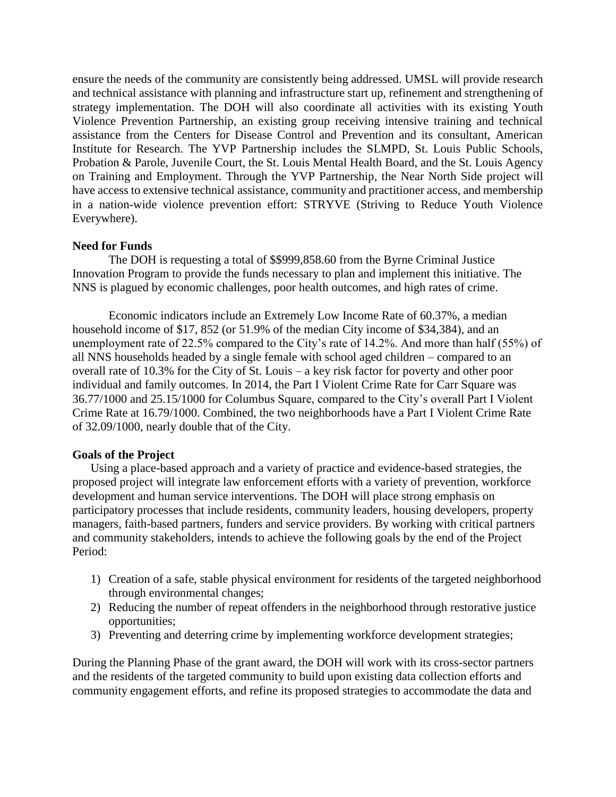ensure the needs of the community are consistently being addressed. UMSL will provide research and technical assistance with planning and infrastructure start up, refinement and strengthening of strategy implementation. The DOH will also coordinate all activities with its existing Youth Violence Prevention Partnership, an existing group receiving intensive training and technical assistance from the Centers for Disease Control and Prevention and its consultant, American Institute for Research. The YVP Partnership includes the SLMPD, St. Louis Public Schools, Probation & Parole, Juvenile Court, the St. Louis Mental Health Board, and the St. Louis Agency on Training and Employment. Through the YVP Partnership, the Near North Side project will have access to extensive technical assistance, community and practitioner access, and membership in a nation-wide violence prevention effort: STRYVE (Striving to Reduce Youth Violence Everywhere).

## **Need for Funds**

The DOH is requesting a total of \$\$999,858.60 from the Byrne Criminal Justice Innovation Program to provide the funds necessary to plan and implement this initiative. The NNS is plagued by economic challenges, poor health outcomes, and high rates of crime.

Economic indicators include an Extremely Low Income Rate of 60.37%, a median household income of \$17, 852 (or 51.9% of the median City income of \$34,384), and an unemployment rate of 22.5% compared to the City's rate of 14.2%. And more than half (55%) of all NNS households headed by a single female with school aged children – compared to an overall rate of 10.3% for the City of St. Louis – a key risk factor for poverty and other poor individual and family outcomes. In 2014, the Part I Violent Crime Rate for Carr Square was 36.77/1000 and 25.15/1000 for Columbus Square, compared to the City's overall Part I Violent Crime Rate at 16.79/1000. Combined, the two neighborhoods have a Part I Violent Crime Rate of 32.09/1000, nearly double that of the City.

### **Goals of the Project**

Using a place-based approach and a variety of practice and evidence-based strategies, the proposed project will integrate law enforcement efforts with a variety of prevention, workforce development and human service interventions. The DOH will place strong emphasis on participatory processes that include residents, community leaders, housing developers, property managers, faith-based partners, funders and service providers. By working with critical partners and community stakeholders, intends to achieve the following goals by the end of the Project Period:

- 1) Creation of a safe, stable physical environment for residents of the targeted neighborhood through environmental changes;
- 2) Reducing the number of repeat offenders in the neighborhood through restorative justice opportunities;
- 3) Preventing and deterring crime by implementing workforce development strategies;

During the Planning Phase of the grant award, the DOH will work with its cross-sector partners and the residents of the targeted community to build upon existing data collection efforts and community engagement efforts, and refine its proposed strategies to accommodate the data and